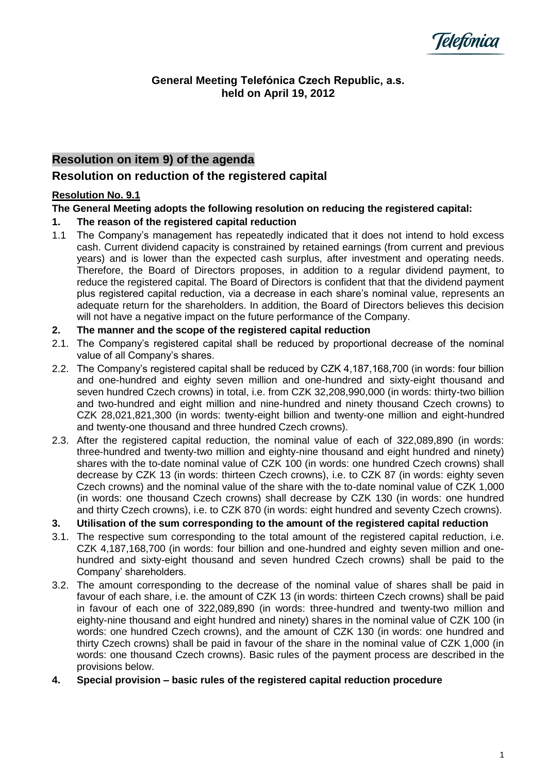

#### **General Meeting Telefónica Czech Republic, a.s. held on April 19, 2012**

# **Resolution on item 9) of the agenda**

## **Resolution on reduction of the registered capital**

## **Resolution No. 9.1**

## **The General Meeting adopts the following resolution on reducing the registered capital:**

## **1. The reason of the registered capital reduction**

1.1 The Company's management has repeatedly indicated that it does not intend to hold excess cash. Current dividend capacity is constrained by retained earnings (from current and previous years) and is lower than the expected cash surplus, after investment and operating needs. Therefore, the Board of Directors proposes, in addition to a regular dividend payment, to reduce the registered capital. The Board of Directors is confident that that the dividend payment plus registered capital reduction, via a decrease in each share's nominal value, represents an adequate return for the shareholders. In addition, the Board of Directors believes this decision will not have a negative impact on the future performance of the Company.

#### **2. The manner and the scope of the registered capital reduction**

- 2.1. The Company's registered capital shall be reduced by proportional decrease of the nominal value of all Company's shares.
- 2.2. The Company's registered capital shall be reduced by CZK 4,187,168,700 (in words: four billion and one-hundred and eighty seven million and one-hundred and sixty-eight thousand and seven hundred Czech crowns) in total, i.e. from CZK 32,208,990,000 (in words: thirty-two billion and two-hundred and eight million and nine-hundred and ninety thousand Czech crowns) to CZK 28,021,821,300 (in words: twenty-eight billion and twenty-one million and eight-hundred and twenty-one thousand and three hundred Czech crowns).
- 2.3. After the registered capital reduction, the nominal value of each of 322,089,890 (in words: three-hundred and twenty-two million and eighty-nine thousand and eight hundred and ninety) shares with the to-date nominal value of CZK 100 (in words: one hundred Czech crowns) shall decrease by CZK 13 (in words: thirteen Czech crowns), i.e. to CZK 87 (in words: eighty seven Czech crowns) and the nominal value of the share with the to-date nominal value of CZK 1,000 (in words: one thousand Czech crowns) shall decrease by CZK 130 (in words: one hundred and thirty Czech crowns), i.e. to CZK 870 (in words: eight hundred and seventy Czech crowns).

## **3. Utilisation of the sum corresponding to the amount of the registered capital reduction**

- 3.1. The respective sum corresponding to the total amount of the registered capital reduction, i.e. CZK 4,187,168,700 (in words: four billion and one-hundred and eighty seven million and onehundred and sixty-eight thousand and seven hundred Czech crowns) shall be paid to the Company' shareholders.
- 3.2. The amount corresponding to the decrease of the nominal value of shares shall be paid in favour of each share, i.e. the amount of CZK 13 (in words: thirteen Czech crowns) shall be paid in favour of each one of 322,089,890 (in words: three-hundred and twenty-two million and eighty-nine thousand and eight hundred and ninety) shares in the nominal value of CZK 100 (in words: one hundred Czech crowns), and the amount of CZK 130 (in words: one hundred and thirty Czech crowns) shall be paid in favour of the share in the nominal value of CZK 1,000 (in words: one thousand Czech crowns). Basic rules of the payment process are described in the provisions below.
- **4. Special provision – basic rules of the registered capital reduction procedure**